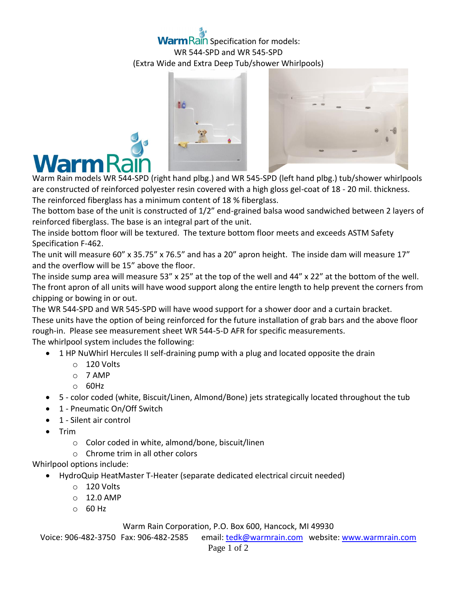## **Warm Rain Specification for models:** WR 544-SPD and WR 545-SPD (Extra Wide and Extra Deep Tub/shower Whirlpools)





Warm Rain models WR 544-SPD (right hand plbg.) and WR 545-SPD (left hand plbg.) tub/shower whirlpools are constructed of reinforced polyester resin covered with a high gloss gel-coat of 18 - 20 mil. thickness. The reinforced fiberglass has a minimum content of 18 % fiberglass.

The bottom base of the unit is constructed of 1/2" end-grained balsa wood sandwiched between 2 layers of reinforced fiberglass. The base is an integral part of the unit.

The inside bottom floor will be textured. The texture bottom floor meets and exceeds ASTM Safety Specification F-462.

The unit will measure 60" x 35.75" x 76.5" and has a 20" apron height. The inside dam will measure 17" and the overflow will be 15" above the floor.

The inside sump area will measure 53" x 25" at the top of the well and 44" x 22" at the bottom of the well. The front apron of all units will have wood support along the entire length to help prevent the corners from chipping or bowing in or out.

The WR 544-SPD and WR 545-SPD will have wood support for a shower door and a curtain bracket. These units have the option of being reinforced for the future installation of grab bars and the above floor rough-in. Please see measurement sheet WR 544-5-D AFR for specific measurements. The whirlpool system includes the following:

- 1 HP NuWhirl Hercules II self-draining pump with a plug and located opposite the drain
	- o 120 Volts
	- o 7 AMP
	- o 60Hz
- 5 color coded (white, Biscuit/Linen, Almond/Bone) jets strategically located throughout the tub
- 1 Pneumatic On/Off Switch
- 1 Silent air control
- $\bullet$  Trim
	- o Color coded in white, almond/bone, biscuit/linen
	- o Chrome trim in all other colors

## Whirlpool options include:

- HydroQuip HeatMaster T-Heater (separate dedicated electrical circuit needed)
	- o 120 Volts
	- $O$  12.0 AMP
	- $O$  60 Hz

## Warm Rain Corporation, P.O. Box 600, Hancock, MI 49930

Voice: 906-482-3750 Fax: 906-482-2585 email[: tedk@warmrain.com](mailto:tedk@warmrain.com) website: [www.warmrain.com](http://www.warmrain.com/)